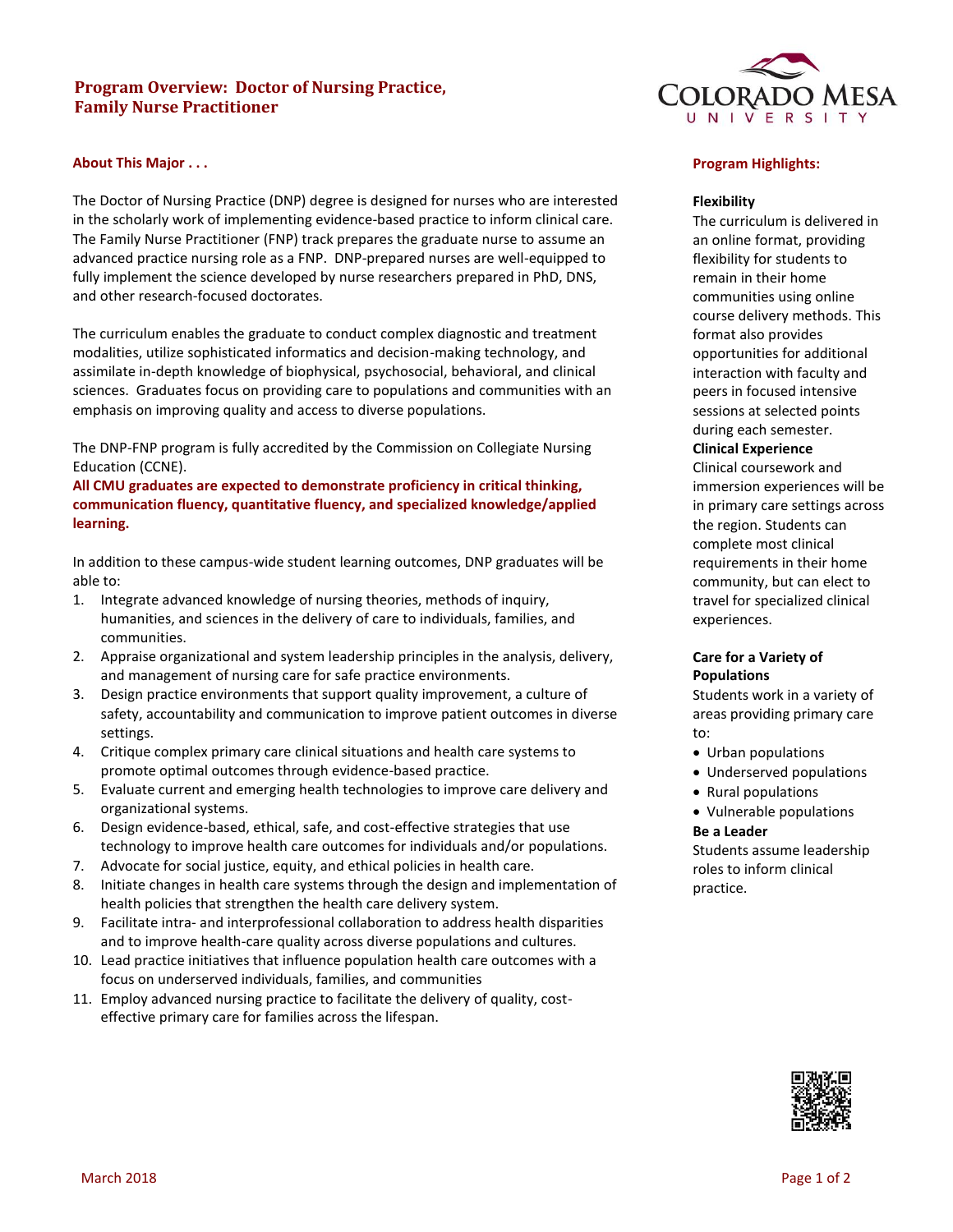## **Program Overview: Doctor of Nursing Practice, Family Nurse Practitioner**

#### **About This Major . . .**

The Doctor of Nursing Practice (DNP) degree is designed for nurses who are interested in the scholarly work of implementing evidence-based practice to inform clinical care. The Family Nurse Practitioner (FNP) track prepares the graduate nurse to assume an advanced practice nursing role as a FNP. DNP-prepared nurses are well-equipped to fully implement the science developed by nurse researchers prepared in PhD, DNS, and other research-focused doctorates.

The curriculum enables the graduate to conduct complex diagnostic and treatment modalities, utilize sophisticated informatics and decision-making technology, and assimilate in-depth knowledge of biophysical, psychosocial, behavioral, and clinical sciences. Graduates focus on providing care to populations and communities with an emphasis on improving quality and access to diverse populations.

The DNP-FNP program is fully accredited by the Commission on Collegiate Nursing Education (CCNE).

**All CMU graduates are expected to demonstrate proficiency in critical thinking, communication fluency, quantitative fluency, and specialized knowledge/applied learning.** 

In addition to these campus-wide student learning outcomes, DNP graduates will be able to:

- 1. Integrate advanced knowledge of nursing theories, methods of inquiry, humanities, and sciences in the delivery of care to individuals, families, and communities.
- 2. Appraise organizational and system leadership principles in the analysis, delivery, and management of nursing care for safe practice environments.
- 3. Design practice environments that support quality improvement, a culture of safety, accountability and communication to improve patient outcomes in diverse settings.
- 4. Critique complex primary care clinical situations and health care systems to promote optimal outcomes through evidence-based practice.
- 5. Evaluate current and emerging health technologies to improve care delivery and organizational systems.
- 6. Design evidence-based, ethical, safe, and cost-effective strategies that use technology to improve health care outcomes for individuals and/or populations.
- 7. Advocate for social justice, equity, and ethical policies in health care.
- 8. Initiate changes in health care systems through the design and implementation of health policies that strengthen the health care delivery system.
- 9. Facilitate intra- and interprofessional collaboration to address health disparities and to improve health-care quality across diverse populations and cultures.
- 10. Lead practice initiatives that influence population health care outcomes with a focus on underserved individuals, families, and communities
- 11. Employ advanced nursing practice to facilitate the delivery of quality, costeffective primary care for families across the lifespan.



#### **Program Highlights:**

#### **Flexibility**

The curriculum is delivered in an online format, providing flexibility for students to remain in their home communities using online course delivery methods. This format also provides opportunities for additional interaction with faculty and peers in focused intensive sessions at selected points during each semester.

#### **Clinical Experience**

Clinical coursework and immersion experiences will be in primary care settings across the region. Students can complete most clinical requirements in their home community, but can elect to travel for specialized clinical experiences.

#### **Care for a Variety of Populations**

Students work in a variety of areas providing primary care to:

- Urban populations
- Underserved populations
- Rural populations
- Vulnerable populations

#### **Be a Leader**

Students assume leadership roles to inform clinical practice.